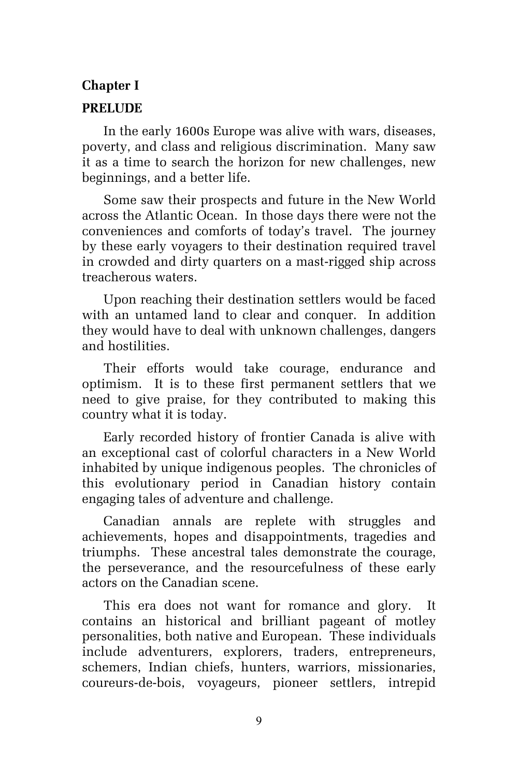## **Chapter I**

## **PRELUDE**

In the early 1600s Europe was alive with wars, diseases, poverty, and class and religious discrimination. Many saw it as a time to search the horizon for new challenges, new beginnings, and a better life.

Some saw their prospects and future in the New World across the Atlantic Ocean. In those days there were not the conveniences and comforts of today's travel. The journey by these early voyagers to their destination required travel in crowded and dirty quarters on a mast-rigged ship across treacherous waters.

Upon reaching their destination settlers would be faced with an untamed land to clear and conquer. In addition they would have to deal with unknown challenges, dangers and hostilities.

Their efforts would take courage, endurance and optimism. It is to these first permanent settlers that we need to give praise, for they contributed to making this country what it is today.

Early recorded history of frontier Canada is alive with an exceptional cast of colorful characters in a New World inhabited by unique indigenous peoples. The chronicles of this evolutionary period in Canadian history contain engaging tales of adventure and challenge.

Canadian annals are replete with struggles and achievements, hopes and disappointments, tragedies and triumphs. These ancestral tales demonstrate the courage, the perseverance, and the resourcefulness of these early actors on the Canadian scene.

This era does not want for romance and glory. It contains an historical and brilliant pageant of motley personalities, both native and European. These individuals include adventurers, explorers, traders, entrepreneurs, schemers, Indian chiefs, hunters, warriors, missionaries, coureurs-de-bois, voyageurs, pioneer settlers, intrepid